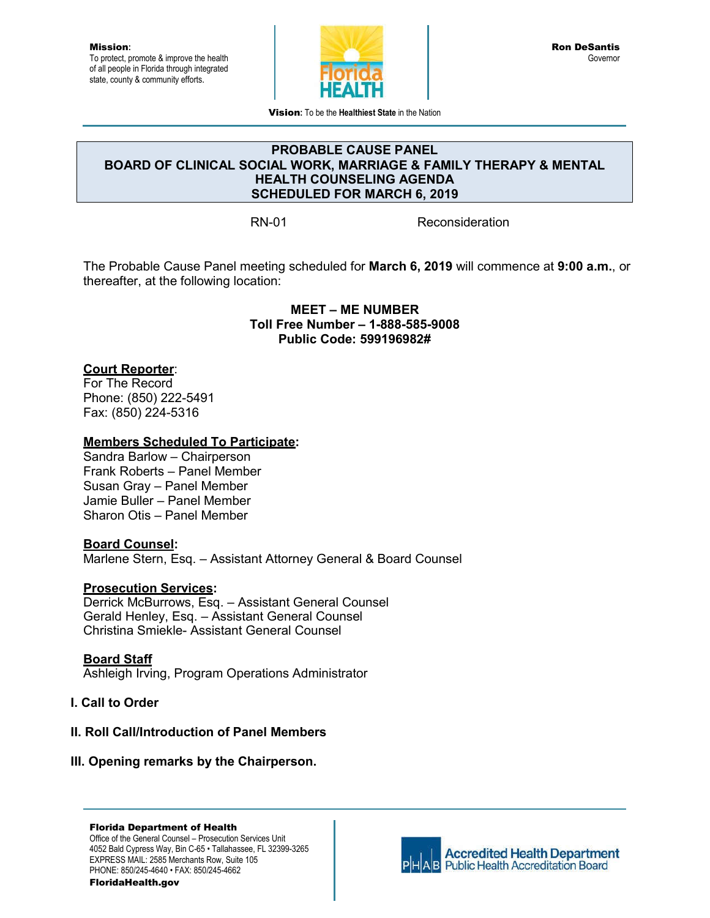Mission**:** To protect, promote & improve the health of all people in Florida through integrated state, county & community efforts.



Vision**:** To be the **Healthiest State** in the Nation

#### **PROBABLE CAUSE PANEL BOARD OF CLINICAL SOCIAL WORK, MARRIAGE & FAMILY THERAPY & MENTAL HEALTH COUNSELING AGENDA SCHEDULED FOR MARCH 6, 2019**

RN-01 Reconsideration

The Probable Cause Panel meeting scheduled for **March 6, 2019** will commence at **9:00 a.m.**, or thereafter, at the following location:

> **MEET – ME NUMBER Toll Free Number – 1-888-585-9008 Public Code: 599196982#**

## **Court Reporter**:

For The Record Phone: (850) 222-5491 Fax: (850) 224-5316

#### **Members Scheduled To Participate:**

Sandra Barlow – Chairperson Frank Roberts – Panel Member Susan Gray – Panel Member Jamie Buller – Panel Member Sharon Otis – Panel Member

## **Board Counsel:**

Marlene Stern, Esq. – Assistant Attorney General & Board Counsel

## **Prosecution Services:**

Derrick McBurrows, Esq. – Assistant General Counsel Gerald Henley, Esq. – Assistant General Counsel Christina Smiekle- Assistant General Counsel

## **Board Staff**

Ashleigh Irving, Program Operations Administrator

## **I. Call to Order**

## **II. Roll Call/Introduction of Panel Members**

#### **III. Opening remarks by the Chairperson.**

#### Florida Department of Health

Office of the General Counsel – Prosecution Services Unit 4052 Bald Cypress Way, Bin C-65 • Tallahassee, FL 32399-3265 EXPRESS MAIL: 2585 Merchants Row, Suite 105 PHONE: 850/245-4640 • FAX: 850/245-4662 FloridaHealth.gov



**Accredited Health Department AB** Public Health Accreditation Board